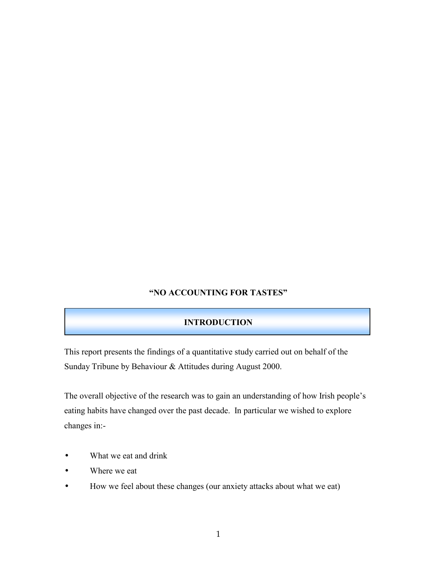## **"NO ACCOUNTING FOR TASTES"**

## **INTRODUCTION**

This report presents the findings of a quantitative study carried out on behalf of the Sunday Tribune by Behaviour & Attitudes during August 2000.

The overall objective of the research was to gain an understanding of how Irish people's eating habits have changed over the past decade. In particular we wished to explore changes in:-

- What we eat and drink
- Where we eat
- How we feel about these changes (our anxiety attacks about what we eat)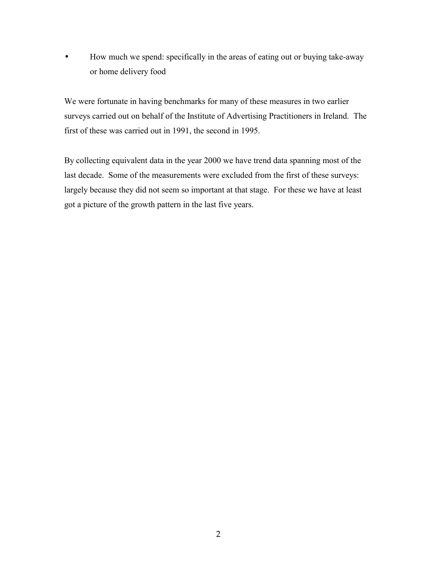• How much we spend: specifically in the areas of eating out or buying take-away or home delivery food

We were fortunate in having benchmarks for many of these measures in two earlier surveys carried out on behalf of the Institute of Advertising Practitioners in Ireland. The first of these was carried out in 1991, the second in 1995.

By collecting equivalent data in the year 2000 we have trend data spanning most of the last decade. Some of the measurements were excluded from the first of these surveys: largely because they did not seem so important at that stage. For these we have at least got a picture of the growth pattern in the last five years.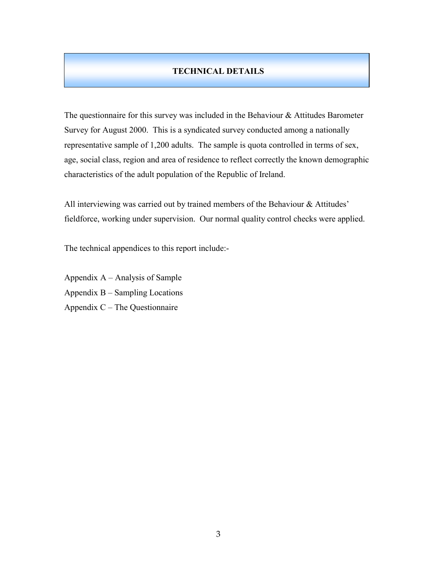## **TECHNICAL DETAILS**

The questionnaire for this survey was included in the Behaviour  $\&$  Attitudes Barometer Survey for August 2000. This is a syndicated survey conducted among a nationally representative sample of 1,200 adults. The sample is quota controlled in terms of sex, age, social class, region and area of residence to reflect correctly the known demographic characteristics of the adult population of the Republic of Ireland.

All interviewing was carried out by trained members of the Behaviour & Attitudes' fieldforce, working under supervision. Our normal quality control checks were applied.

The technical appendices to this report include:-

Appendix  $A -$ Analysis of Sample Appendix  $B -$  Sampling Locations Appendix  $C$  – The Questionnaire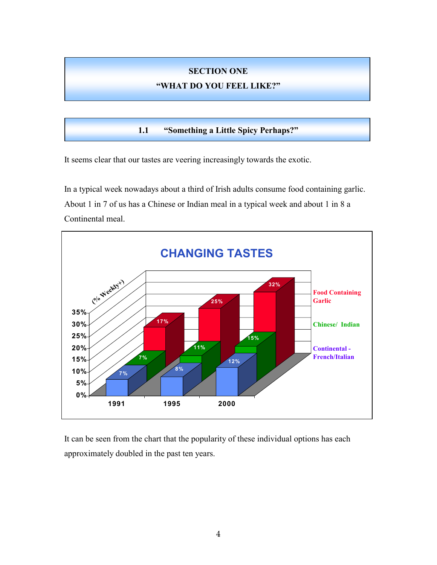# **SECTION ONE**

# **ìWHAT DO YOU FEEL LIKE?î**

**1.1 • "Something a Little Spicy Perhaps?"** 

It seems clear that our tastes are veering increasingly towards the exotic.

In a typical week nowadays about a third of Irish adults consume food containing garlic. About 1 in 7 of us has a Chinese or Indian meal in a typical week and about 1 in 8 a Continental meal.



It can be seen from the chart that the popularity of these individual options has each approximately doubled in the past ten years.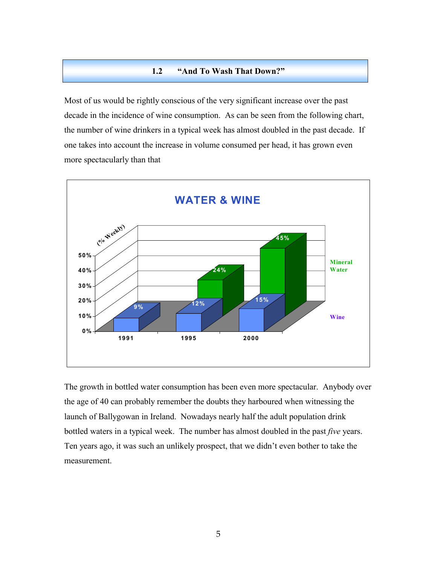#### **1.2** *"And To Wash That Down?"*

Most of us would be rightly conscious of the very significant increase over the past decade in the incidence of wine consumption. As can be seen from the following chart, the number of wine drinkers in a typical week has almost doubled in the past decade. If one takes into account the increase in volume consumed per head, it has grown even more spectacularly than that



The growth in bottled water consumption has been even more spectacular. Anybody over the age of 40 can probably remember the doubts they harboured when witnessing the launch of Ballygowan in Ireland. Nowadays nearly half the adult population drink bottled waters in a typical week. The number has almost doubled in the past *five* years. Ten years ago, it was such an unlikely prospect, that we didn't even bother to take the measurement.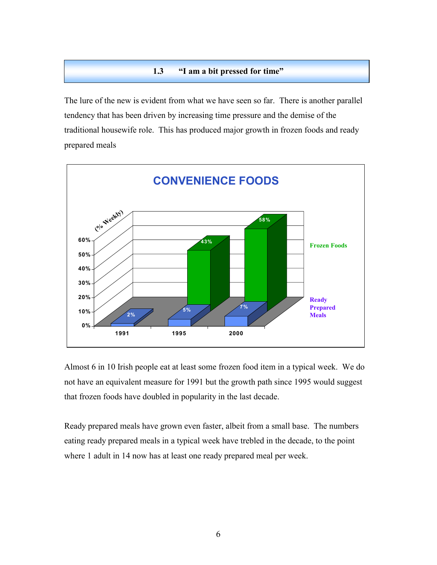#### **1.3 iii 1.3 iii 1.3 iii a bit pressed for time**"

The lure of the new is evident from what we have seen so far. There is another parallel tendency that has been driven by increasing time pressure and the demise of the traditional housewife role. This has produced major growth in frozen foods and ready prepared meals



Almost 6 in 10 Irish people eat at least some frozen food item in a typical week. We do not have an equivalent measure for 1991 but the growth path since 1995 would suggest that frozen foods have doubled in popularity in the last decade.

Ready prepared meals have grown even faster, albeit from a small base. The numbers eating ready prepared meals in a typical week have trebled in the decade, to the point where 1 adult in 14 now has at least one ready prepared meal per week.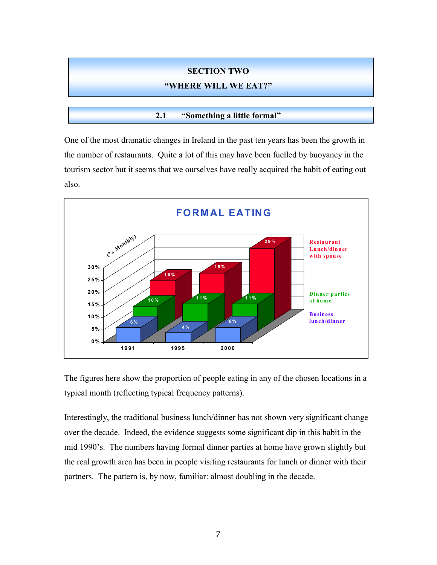#### **SECTION TWO**

#### **"WHERE WILL WE EAT?"**

#### **2.1** *"Something a little formal"*

One of the most dramatic changes in Ireland in the past ten years has been the growth in the number of restaurants. Quite a lot of this may have been fuelled by buoyancy in the tourism sector but it seems that we ourselves have really acquired the habit of eating out also.



The figures here show the proportion of people eating in any of the chosen locations in a typical month (reflecting typical frequency patterns).

Interestingly, the traditional business lunch/dinner has not shown very significant change over the decade. Indeed, the evidence suggests some significant dip in this habit in the mid 1990's. The numbers having formal dinner parties at home have grown slightly but the real growth area has been in people visiting restaurants for lunch or dinner with their partners. The pattern is, by now, familiar: almost doubling in the decade.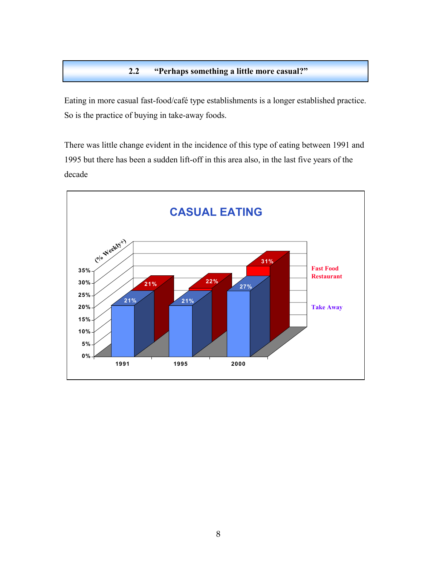## **2.2** *i***Perhaps something a little more casual?"**

Eating in more casual fast-food/café type establishments is a longer established practice. So is the practice of buying in take-away foods.

There was little change evident in the incidence of this type of eating between 1991 and 1995 but there has been a sudden lift-off in this area also, in the last five years of the decade

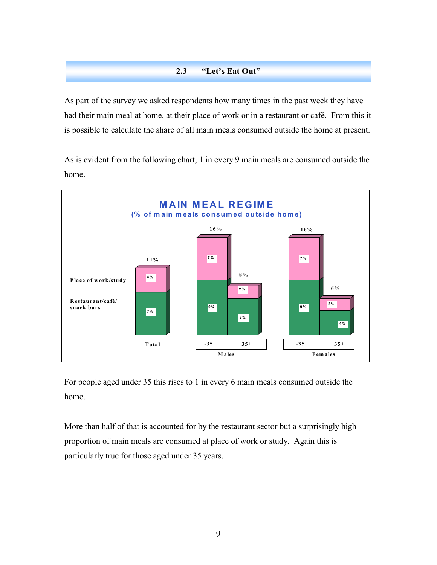## **2.3** *"Let's Eat Out"*

As part of the survey we asked respondents how many times in the past week they have had their main meal at home, at their place of work or in a restaurant or cafÈ. From this it is possible to calculate the share of all main meals consumed outside the home at present.

As is evident from the following chart, 1 in every 9 main meals are consumed outside the home.



For people aged under 35 this rises to 1 in every 6 main meals consumed outside the home.

More than half of that is accounted for by the restaurant sector but a surprisingly high proportion of main meals are consumed at place of work or study. Again this is particularly true for those aged under 35 years.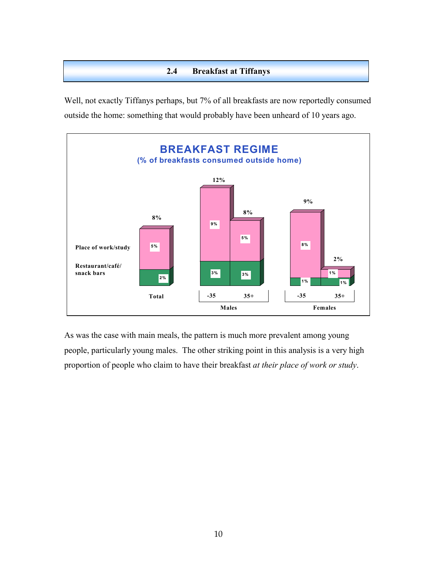## **2.4 Breakfast at Tiffanys**

Well, not exactly Tiffanys perhaps, but 7% of all breakfasts are now reportedly consumed outside the home: something that would probably have been unheard of 10 years ago.



As was the case with main meals, the pattern is much more prevalent among young people, particularly young males. The other striking point in this analysis is a very high proportion of people who claim to have their breakfast *at their place of work or study*.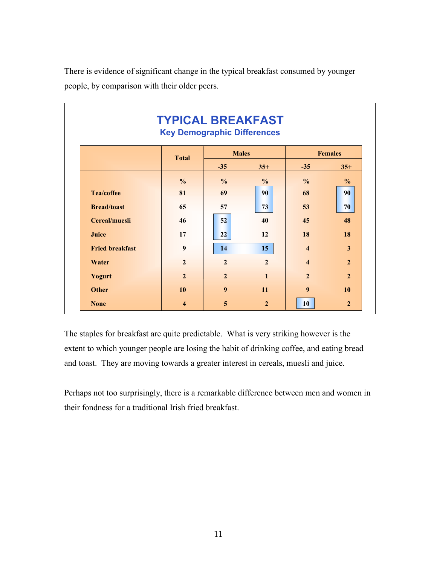There is evidence of significant change in the typical breakfast consumed by younger people, by comparison with their older peers.

|                        | <b>TYPICAL BREAKFAST</b><br><b>Key Demographic Differences</b> |                  |                |                         |                |
|------------------------|----------------------------------------------------------------|------------------|----------------|-------------------------|----------------|
|                        | <b>Total</b>                                                   | <b>Males</b>     |                | <b>Females</b>          |                |
|                        |                                                                | $-35$            | $35+$          | $-35$                   | $35+$          |
|                        | $\frac{0}{0}$                                                  | $\frac{0}{0}$    | $\frac{0}{0}$  | $\frac{0}{0}$           | $\frac{0}{0}$  |
| <b>Tea/coffee</b>      | 81                                                             | 69               | 90             | 68                      | 90             |
| <b>Bread/toast</b>     | 65                                                             | 57               | 73             | 53                      | 70             |
| Cereal/muesli          | 46                                                             | 52               | 40             | 45                      | 48             |
| Juice                  | 17                                                             | 22               | 12             | 18                      | 18             |
| <b>Fried breakfast</b> | $\boldsymbol{9}$                                               | 14               | 15             | $\overline{\mathbf{4}}$ | 3              |
| Water                  | $\overline{2}$                                                 | $\overline{2}$   | $\overline{2}$ | $\overline{\mathbf{4}}$ | $\overline{2}$ |
| Yogurt                 | $\overline{2}$                                                 | $\overline{2}$   | $\mathbf{1}$   | $\overline{2}$          | $\overline{2}$ |
| <b>Other</b>           | 10                                                             | $\boldsymbol{9}$ | 11             | $\boldsymbol{9}$        | <b>10</b>      |
| <b>None</b>            | $\overline{\bf{4}}$                                            | 5                | $\overline{2}$ | 10                      | $\overline{2}$ |

The staples for breakfast are quite predictable. What is very striking however is the extent to which younger people are losing the habit of drinking coffee, and eating bread and toast. They are moving towards a greater interest in cereals, muesli and juice.

Perhaps not too surprisingly, there is a remarkable difference between men and women in their fondness for a traditional Irish fried breakfast.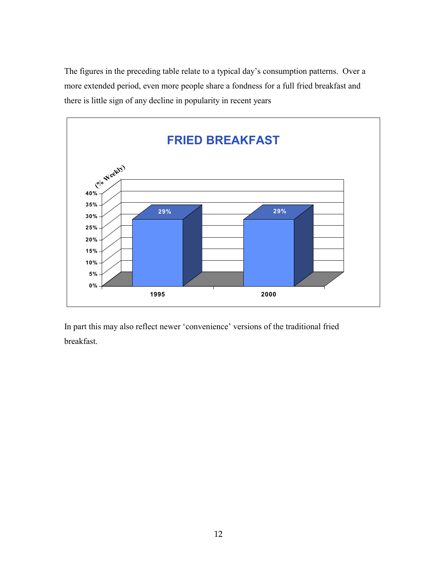The figures in the preceding table relate to a typical day's consumption patterns. Over a more extended period, even more people share a fondness for a full fried breakfast and there is little sign of any decline in popularity in recent years



In part this may also reflect newer 'convenience' versions of the traditional fried breakfast.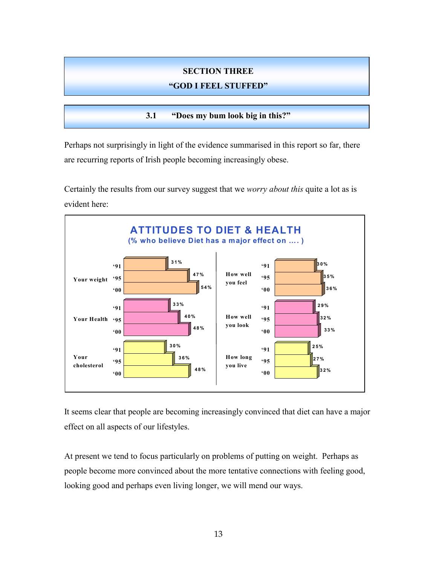#### **SECTION THREE**

#### **ìGOD I FEEL STUFFEDî**

**3.1** *"Does my bum look big in this?"* 

Perhaps not surprisingly in light of the evidence summarised in this report so far, there are recurring reports of Irish people becoming increasingly obese.

Certainly the results from our survey suggest that we *worry about this* quite a lot as is evident here:



It seems clear that people are becoming increasingly convinced that diet can have a major effect on all aspects of our lifestyles.

At present we tend to focus particularly on problems of putting on weight. Perhaps as people become more convinced about the more tentative connections with feeling good, looking good and perhaps even living longer, we will mend our ways.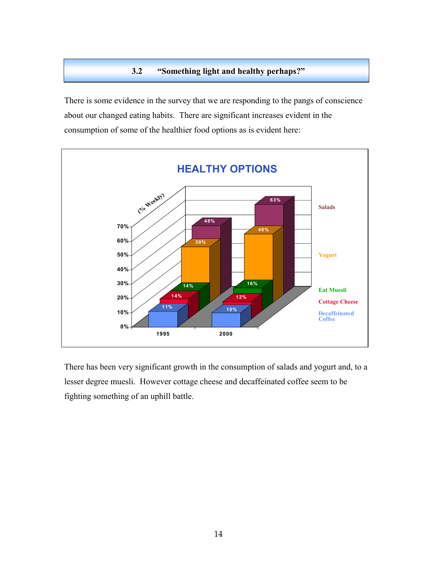## **3.2** *"Something light and healthy perhaps?"*

There is some evidence in the survey that we are responding to the pangs of conscience about our changed eating habits. There are significant increases evident in the consumption of some of the healthier food options as is evident here:



There has been very significant growth in the consumption of salads and yogurt and, to a lesser degree muesli. However cottage cheese and decaffeinated coffee seem to be fighting something of an uphill battle.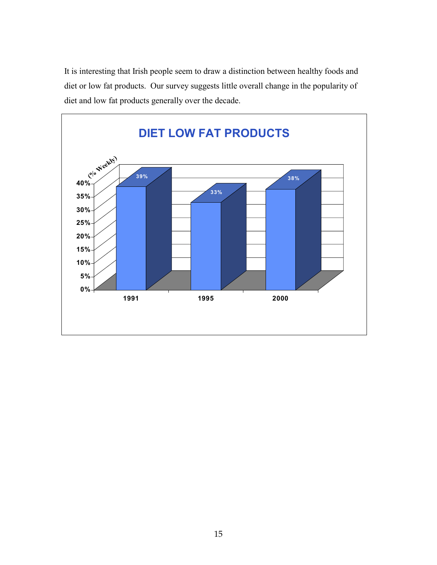It is interesting that Irish people seem to draw a distinction between healthy foods and diet or low fat products. Our survey suggests little overall change in the popularity of diet and low fat products generally over the decade.

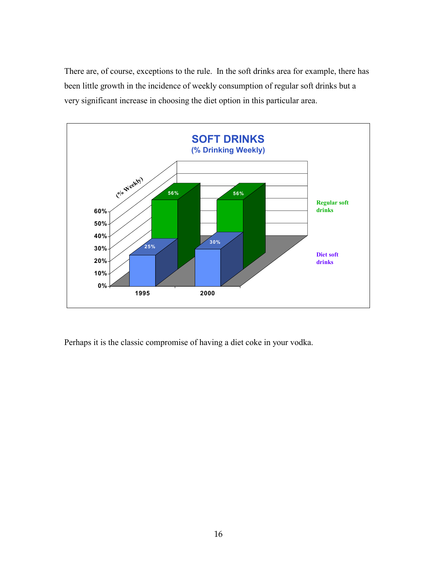There are, of course, exceptions to the rule. In the soft drinks area for example, there has been little growth in the incidence of weekly consumption of regular soft drinks but a very significant increase in choosing the diet option in this particular area.



Perhaps it is the classic compromise of having a diet coke in your vodka.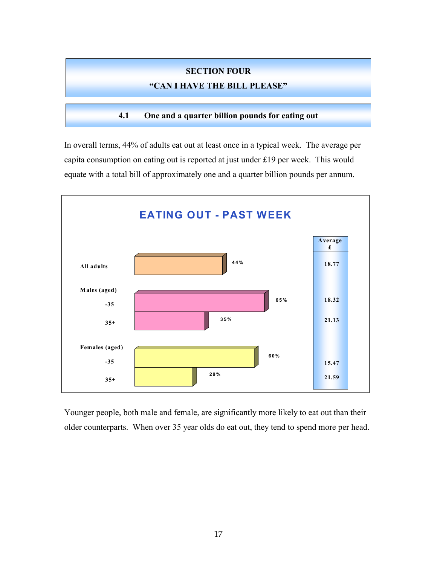# **SECTION FOUR**

## **"CAN I HAVE THE BILL PLEASE"**

**4.1 One and a quarter billion pounds for eating out** 

In overall terms, 44% of adults eat out at least once in a typical week. The average per capita consumption on eating out is reported at just under £19 per week. This would equate with a total bill of approximately one and a quarter billion pounds per annum.



Younger people, both male and female, are significantly more likely to eat out than their older counterparts. When over 35 year olds do eat out, they tend to spend more per head.